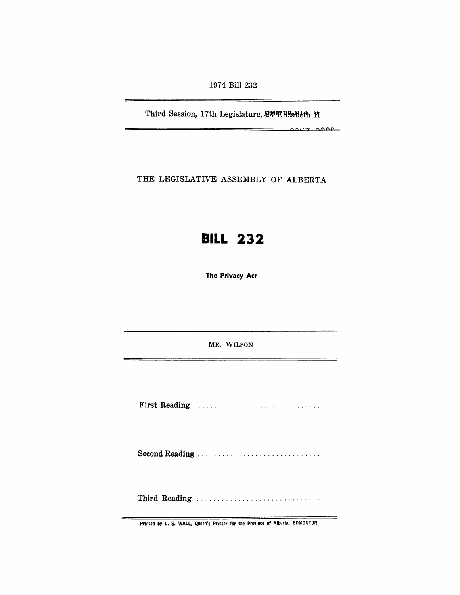1974 Bill 232

Third Session, 17th Legislature, 28th EBableth Yf

 $f \rightarrow f$  and  $f \rightarrow f$ 

 $\rightarrow$ 

THE LEGISLATIVE ASSEMBLY OF ALBERTA

## **BILL 232**

The Privacy Act

MR. WILSON

First Reading . . . . . . .. . ......... " .......... .

Second Reading ............................. .

Third Reading .................................

Printed by L. S. WALL, Queen's Printer for the Province of Alberta, EDMONTON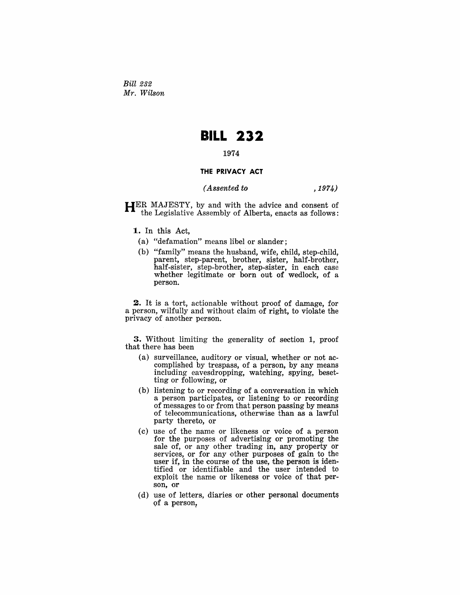*Bill 232 Mr. Wilson* 

## **BILL 232**

## 1974

## **THE PRIVACY ACT**

*(Assented to* ,1974)

HER MAJESTY, by and with the advice and consent of the Legislative Assembly of Alberta, enacts as follows:

- 1. In this Act,
	- (a) "defamation" means libel or slander;
	- (b) "family" means the husband, wife, child, step-child, parent, step-parent, brother, sister, half-brother, half-sister, step-brother, step-sister, in each case whether legitimate or born out of wedlock, of a person.

2. It is a tort, actionable without proof of damage, for a person, wilfully and without claim of right, to violate the privacy of another person.

3. Without limiting the generality of section 1, proof that there has been

- (a) surveillance, auditory or visual, whether or not accomplished by trespass, of a person, by any means including eavesdropping, watching, spying, besetting or following, or
- (b) listening to or recording of a conversation in which a person participates, or listening to or recording of messages to or from that person passing by means of telecommunications, otherwise than as a lawful party thereto, or
- (c) use of the name or likeness or voice of a person for the purposes of advertising or promoting the sale of, or any other trading in, any property or services, or for any other purposes of gain to the user if, in the course of the use, the person is identified or identifiable and the user intended to exploit the name or likeness or voice of that person, or
- (d) use of letters, diaries or other personal documents of a person,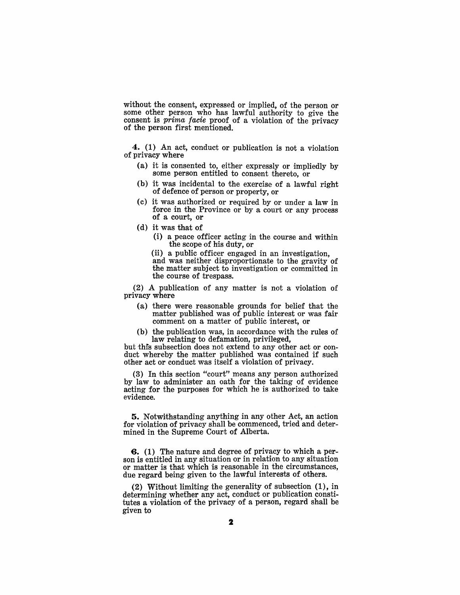without the consent, expressed or implied, of the person or some other person who has lawful authority to give the consent is  $\hat{prime}$  facie proof of a violation of the privacy of the person first mentioned.

4. (1) An act, conduct or publication is not a violation of privacy where

- (a) it is consented to, either expressly or impliedly by some person entitled to consent thereto, or
- (b) it was incidental to the exercise of a lawful right of defence of person or property, or
- (c) it was authorized or required by or under a law in force in the Province or by a court or any process of a court, or
- (d) it was that of
	- (i) a peace officer acting in the course and within the scope of his duty, or

(ii) a public officer engaged in an investigation, and was neither disproportionate to the gravity of the matter subject to investigation or committed in the course of trespass.

(2) A publication of any matter is not a violation of privacy where

- (a) there were reasonable grounds for belief that the matter published was of public interest or was fair comment on a matter of public interest, or
- (b) the publication was, in accordance with the rules of law relating to defamation, privileged,

but this subsection does not extend to any other act or conduct whereby the matter published was contained if such other act or conduct was itself a violation of privacy.

(3) In this section "court" means any person authorized by law to administer an oath for the taking of evidence acting for the purposes for which he is authorized to take evidence.

5. Notwithstanding anything in any other Act, an action for violation of privacy shall be commenced, tried and determined in the Supreme Court of Alberta.

6. (1) The nature and degree of privacy to which a person is entitled in any situation or in relation to any situation or matter is that which is reasonable in the circumstances, due regard being given to the lawful interests of others.

(2) Without limiting the generality of subsection (1), in determining whether any act, conduct or publication constitutes a violation of the privacy of a person, regard shall be given to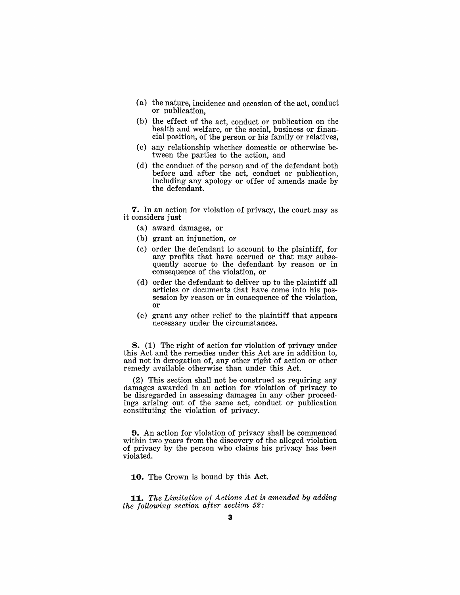- $(a)$  the nature, incidence and occasion of the act, conduct or publication.
- $(b)$  the effect of the act, conduct or publication on the health and welfare, or the social, business or financial position, of the person or his family or relatives.
- (c) any relationship whether domestic or otherwise between the parties to the action, and
- (d) the conduct of the person and of the defendant both before and after the act, conduct or publication, including any apology or offer of amends made by the defendant.

**7.** In an action for violation of privacy, the court may as it considers just

- (a) award damages, or
- $(b)$  grant an injunction, or
- (c) order the defendant to account to the plaintiff, for. any profits that have accrued or that may subsequently accrue to the defendant by reason or in consequence of the violation, or
- (d) order the defendant to deliver up to the plaintiff all articles or documents that have come into his possession by reason or in consequence of the violation, o.r
- (e) grant any other relief to. the plaintiff that appears necessary under the circumstances.

8. (1) The right of action for violation of privacy under this Act and the remedies under this Act are in addition to. and not in derogation of, any other right of action or other remedy available otherwise than under this Act.

 $(2)$  This section shall not be construed as requiring any damages awarded in an action for violation of privacy to be disregarded in assessing damages in any other proceedings arising out of the same act, conduct or publication constituting the violation of privacy.

**9.** An action for violation of privacy shall be commenced within two years from the discovery of the alleged violation. of privacy by the person who claims his privacy has been violated.

**10.** The Crown is bound by this Act.

*11,. The Limitation of Actions Act* is *amended by adding the following section after section* 52: